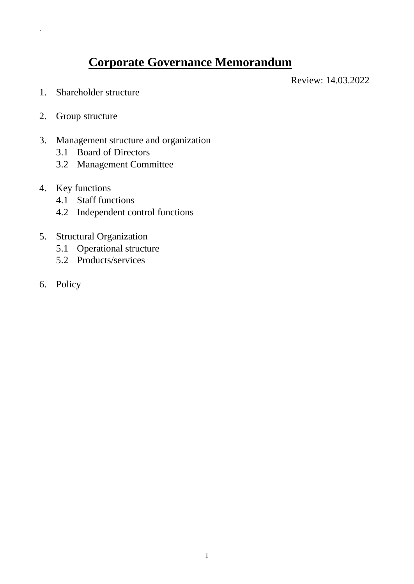# **Corporate Governance Memorandum**

Review: 14.03.2022

- 1. Shareholder structure
- 2. Group structure

.

- 3. Management structure and organization
	- 3.1 Board of Directors
	- 3.2 Management Committee
- 4. Key functions
	- 4.1 Staff functions
	- 4.2 Independent control functions
- 5. Structural Organization
	- 5.1 Operational structure
	- 5.2 Products/services
- 6. Policy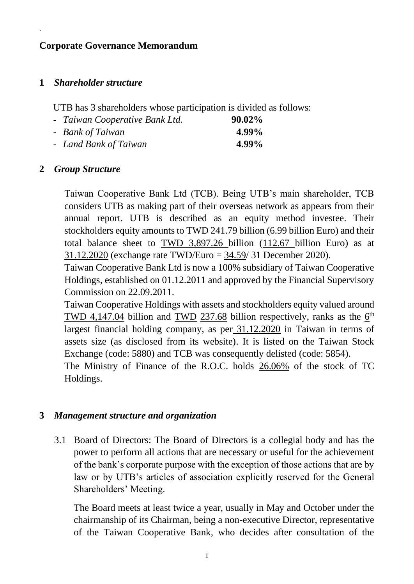## **Corporate Governance Memorandum**

#### **1** *Shareholder structure*

.

UTB has 3 shareholders whose participation is divided as follows:

- *Taiwan Cooperative Bank Ltd.* **90.02%** - *Bank of Taiwan* **4.99%**
- *Land Bank of Taiwan* **4.99%**

### **2** *Group Structure*

Taiwan Cooperative Bank Ltd (TCB). Being UTB's main shareholder, TCB considers UTB as making part of their overseas network as appears from their annual report. UTB is described as an equity method investee. Their stockholders equity amounts to TWD 241.79 billion (6.99 billion Euro) and their total balance sheet to TWD 3,897.26 billion (112.67 billion Euro) as at 31.12.2020 (exchange rate TWD/Euro = 34.59/ 31 December 2020).

Taiwan Cooperative Bank Ltd is now a 100% subsidiary of Taiwan Cooperative Holdings, established on 01.12.2011 and approved by the Financial Supervisory Commission on 22.09.2011.

Taiwan Cooperative Holdings with assets and stockholders equity valued around TWD 4,147.04 billion and TWD 237.68 billion respectively, ranks as the  $6<sup>th</sup>$ largest financial holding company, as per 31.12.2020 in Taiwan in terms of assets size (as disclosed from its website). It is listed on the Taiwan Stock Exchange (code: 5880) and TCB was consequently delisted (code: 5854).

The Ministry of Finance of the R.O.C. holds 26.06% of the stock of TC Holdings.

#### **3** *Management structure and organization*

3.1 Board of Directors: The Board of Directors is a collegial body and has the power to perform all actions that are necessary or useful for the achievement of the bank's corporate purpose with the exception of those actions that are by law or by UTB's articles of association explicitly reserved for the General Shareholders' Meeting.

The Board meets at least twice a year, usually in May and October under the chairmanship of its Chairman, being a non-executive Director, representative of the Taiwan Cooperative Bank, who decides after consultation of the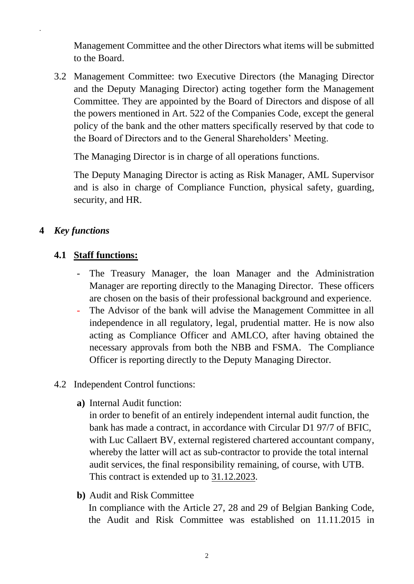Management Committee and the other Directors what items will be submitted to the Board.

3.2 Management Committee: two Executive Directors (the Managing Director and the Deputy Managing Director) acting together form the Management Committee. They are appointed by the Board of Directors and dispose of all the powers mentioned in Art. 522 of the Companies Code, except the general policy of the bank and the other matters specifically reserved by that code to the Board of Directors and to the General Shareholders' Meeting.

The Managing Director is in charge of all operations functions.

The Deputy Managing Director is acting as Risk Manager, AML Supervisor and is also in charge of Compliance Function, physical safety, guarding, security, and HR.

## **4** *Key functions*

.

## **4.1 Staff functions:**

- The Treasury Manager, the loan Manager and the Administration Manager are reporting directly to the Managing Director. These officers are chosen on the basis of their professional background and experience.
- The Advisor of the bank will advise the Management Committee in all independence in all regulatory, legal, prudential matter. He is now also acting as Compliance Officer and AMLCO, after having obtained the necessary approvals from both the NBB and FSMA. The Compliance Officer is reporting directly to the Deputy Managing Director.
- 4.2 Independent Control functions:
	- **a)** Internal Audit function:

in order to benefit of an entirely independent internal audit function, the bank has made a contract, in accordance with Circular D1 97/7 of BFIC, with Luc Callaert BV, external registered chartered accountant company, whereby the latter will act as sub-contractor to provide the total internal audit services, the final responsibility remaining, of course, with UTB. This contract is extended up to 31.12.2023.

**b)** Audit and Risk Committee

In compliance with the Article 27, 28 and 29 of Belgian Banking Code, the Audit and Risk Committee was established on 11.11.2015 in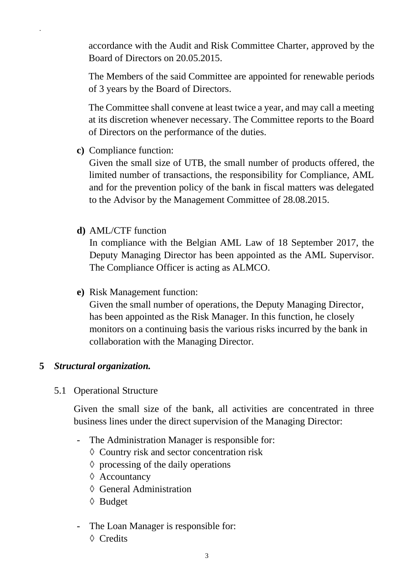accordance with the Audit and Risk Committee Charter, approved by the Board of Directors on 20.05.2015.

The Members of the said Committee are appointed for renewable periods of 3 years by the Board of Directors.

The Committee shall convene at least twice a year, and may call a meeting at its discretion whenever necessary. The Committee reports to the Board of Directors on the performance of the duties.

**c)** Compliance function:

.

Given the small size of UTB, the small number of products offered, the limited number of transactions, the responsibility for Compliance, AML and for the prevention policy of the bank in fiscal matters was delegated to the Advisor by the Management Committee of 28.08.2015.

**d)** AML/CTF function

In compliance with the Belgian AML Law of 18 September 2017, the Deputy Managing Director has been appointed as the AML Supervisor. The Compliance Officer is acting as ALMCO.

**e)** Risk Management function:

Given the small number of operations, the Deputy Managing Director, has been appointed as the Risk Manager. In this function, he closely monitors on a continuing basis the various risks incurred by the bank in collaboration with the Managing Director.

## **5** *Structural organization.*

5.1 Operational Structure

Given the small size of the bank, all activities are concentrated in three business lines under the direct supervision of the Managing Director:

- The Administration Manager is responsible for:
	- ◊ Country risk and sector concentration risk
	- $\diamond$  processing of the daily operations
	- ◊ Accountancy
	- ◊ General Administration
	- ◊ Budget
- The Loan Manager is responsible for:
	- ◊ Credits